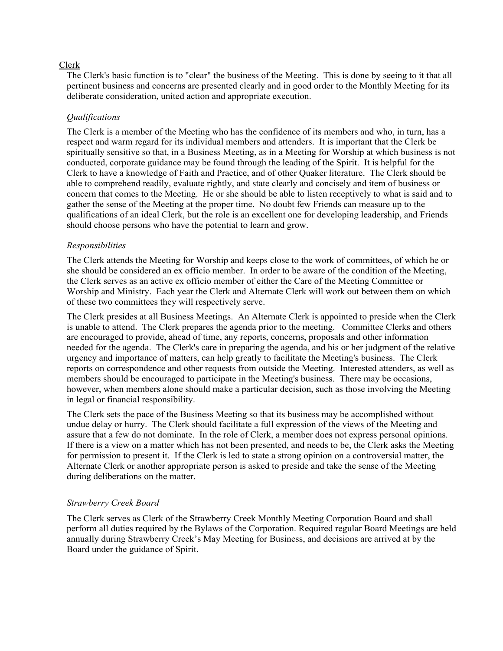## Clerk

The Clerk's basic function is to "clear" the business of the Meeting. This is done by seeing to it that all pertinent business and concerns are presented clearly and in good order to the Monthly Meeting for its deliberate consideration, united action and appropriate execution.

## *Qualifications*

The Clerk is a member of the Meeting who has the confidence of its members and who, in turn, has a respect and warm regard for its individual members and attenders. It is important that the Clerk be spiritually sensitive so that, in a Business Meeting, as in a Meeting for Worship at which business is not conducted, corporate guidance may be found through the leading of the Spirit. It is helpful for the Clerk to have a knowledge of Faith and Practice, and of other Quaker literature. The Clerk should be able to comprehend readily, evaluate rightly, and state clearly and concisely and item of business or concern that comes to the Meeting. He or she should be able to listen receptively to what is said and to gather the sense of the Meeting at the proper time. No doubt few Friends can measure up to the qualifications of an ideal Clerk, but the role is an excellent one for developing leadership, and Friends should choose persons who have the potential to learn and grow.

## *Responsibilities*

The Clerk attends the Meeting for Worship and keeps close to the work of committees, of which he or she should be considered an ex officio member. In order to be aware of the condition of the Meeting, the Clerk serves as an active ex officio member of either the Care of the Meeting Committee or Worship and Ministry. Each year the Clerk and Alternate Clerk will work out between them on which of these two committees they will respectively serve.

The Clerk presides at all Business Meetings. An Alternate Clerk is appointed to preside when the Clerk is unable to attend. The Clerk prepares the agenda prior to the meeting. Committee Clerks and others are encouraged to provide, ahead of time, any reports, concerns, proposals and other information needed for the agenda. The Clerk's care in preparing the agenda, and his or her judgment of the relative urgency and importance of matters, can help greatly to facilitate the Meeting's business. The Clerk reports on correspondence and other requests from outside the Meeting. Interested attenders, as well as members should be encouraged to participate in the Meeting's business. There may be occasions, however, when members alone should make a particular decision, such as those involving the Meeting in legal or financial responsibility.

The Clerk sets the pace of the Business Meeting so that its business may be accomplished without undue delay or hurry. The Clerk should facilitate a full expression of the views of the Meeting and assure that a few do not dominate. In the role of Clerk, a member does not express personal opinions. If there is a view on a matter which has not been presented, and needs to be, the Clerk asks the Meeting for permission to present it. If the Clerk is led to state a strong opinion on a controversial matter, the Alternate Clerk or another appropriate person is asked to preside and take the sense of the Meeting during deliberations on the matter.

## *Strawberry Creek Board*

The Clerk serves as Clerk of the Strawberry Creek Monthly Meeting Corporation Board and shall perform all duties required by the Bylaws of the Corporation. Required regular Board Meetings are held annually during Strawberry Creek's May Meeting for Business, and decisions are arrived at by the Board under the guidance of Spirit.